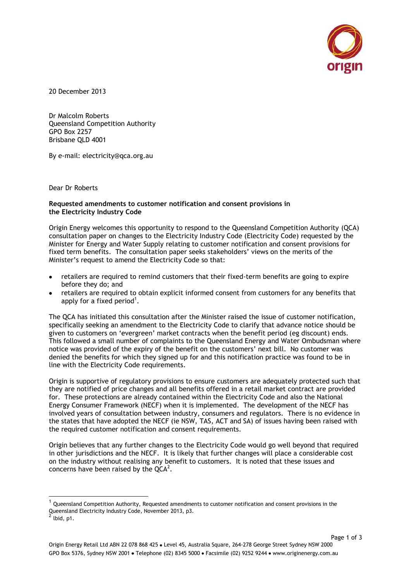

20 December 2013

Dr Malcolm Roberts Queensland Competition Authority GPO Box 2257 Brisbane QLD 4001

By e-mail: [electricity@qca.org.au](mailto:electricity@qca.org.au)

Dear Dr Roberts

## **Requested amendments to customer notification and consent provisions in the Electricity Industry Code**

Origin Energy welcomes this opportunity to respond to the Queensland Competition Authority (QCA) consultation paper on changes to the Electricity Industry Code (Electricity Code) requested by the Minister for Energy and Water Supply relating to customer notification and consent provisions for fixed term benefits. The consultation paper seeks stakeholders' views on the merits of the Minister's request to amend the Electricity Code so that:

- retailers are required to remind customers that their fixed-term benefits are going to expire before they do; and
- retailers are required to obtain explicit informed consent from customers for any benefits that apply for a fixed period<sup>1</sup>.

The QCA has initiated this consultation after the Minister raised the issue of customer notification, specifically seeking an amendment to the Electricity Code to clarify that advance notice should be given to customers on 'evergreen' market contracts when the benefit period (eg discount) ends. This followed a small number of complaints to the Queensland Energy and Water Ombudsman where notice was provided of the expiry of the benefit on the customers' next bill. No customer was denied the benefits for which they signed up for and this notification practice was found to be in line with the Electricity Code requirements.

Origin is supportive of regulatory provisions to ensure customers are adequately protected such that they are notified of price changes and all benefits offered in a retail market contract are provided for. These protections are already contained within the Electricity Code and also the National Energy Consumer Framework (NECF) when it is implemented. The development of the NECF has involved years of consultation between industry, consumers and regulators. There is no evidence in the states that have adopted the NECF (ie NSW, TAS, ACT and SA) of issues having been raised with the required customer notification and consent requirements.

Origin believes that any further changes to the Electricity Code would go well beyond that required in other jurisdictions and the NECF. It is likely that further changes will place a considerable cost on the industry without realising any benefit to customers. It is noted that these issues and concerns have been raised by the  $QCA^2$ .

 $\overline{a}$ 

 $^{\rm 1}$  Queensland Competition Authority, Requested amendments to customer notification and consent provisions in the Queensland Electricity Industry Code, November 2013, p3.

 $2$  lbid, p1.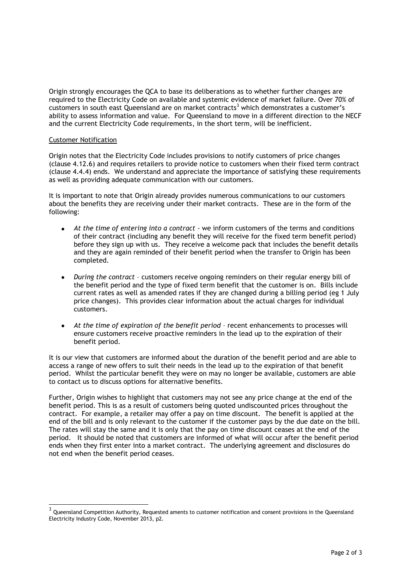Origin strongly encourages the QCA to base its deliberations as to whether further changes are required to the Electricity Code on available and systemic evidence of market failure. Over 70% of customers in south east Queensland are on market contracts<sup>3</sup> which demonstrates a customer's ability to assess information and value. For Queensland to move in a different direction to the NECF and the current Electricity Code requirements, in the short term, will be inefficient.

## Customer Notification

Origin notes that the Electricity Code includes provisions to notify customers of price changes (clause 4.12.6) and requires retailers to provide notice to customers when their fixed term contract (clause 4.4.4) ends. We understand and appreciate the importance of satisfying these requirements as well as providing adequate communication with our customers.

It is important to note that Origin already provides numerous communications to our customers about the benefits they are receiving under their market contracts. These are in the form of the following:

- *At the time of entering into a contract* we inform customers of the terms and conditions of their contract (including any benefit they will receive for the fixed term benefit period) before they sign up with us. They receive a welcome pack that includes the benefit details and they are again reminded of their benefit period when the transfer to Origin has been completed.
- *During the contract* customers receive ongoing reminders on their regular energy bill of the benefit period and the type of fixed term benefit that the customer is on. Bills include current rates as well as amended rates if they are changed during a billing period (eg 1 July price changes). This provides clear information about the actual charges for individual customers.
- *At the time of expiration of the benefit period* recent enhancements to processes will ensure customers receive proactive reminders in the lead up to the expiration of their benefit period.

It is our view that customers are informed about the duration of the benefit period and are able to access a range of new offers to suit their needs in the lead up to the expiration of that benefit period. Whilst the particular benefit they were on may no longer be available, customers are able to contact us to discuss options for alternative benefits.

Further, Origin wishes to highlight that customers may not see any price change at the end of the benefit period. This is as a result of customers being quoted undiscounted prices throughout the contract. For example, a retailer may offer a pay on time discount. The benefit is applied at the end of the bill and is only relevant to the customer if the customer pays by the due date on the bill. The rates will stay the same and it is only that the pay on time discount ceases at the end of the period. It should be noted that customers are informed of what will occur after the benefit period ends when they first enter into a market contract. The underlying agreement and disclosures do not end when the benefit period ceases.

 3 Queensland Competition Authority, Requested aments to customer notification and consent provisions in the Queensland Electricity Industry Code, November 2013, p2.